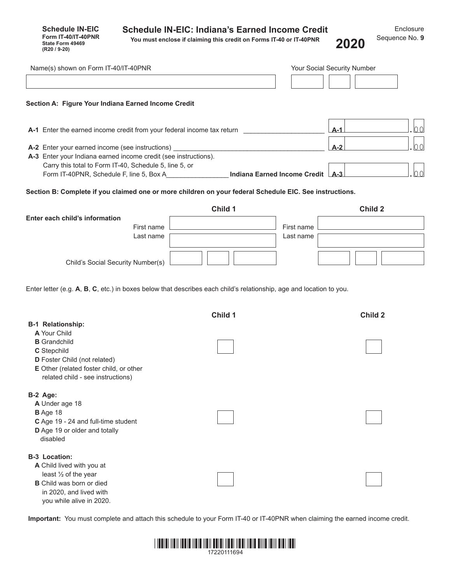**Schedule IN-EIC Form IT-40/IT-40PNR State Form 49469**<br>**(R20 / 9-20)** 

**You must enclose if claiming this credit on Forms IT-40 or IT-40PNR (R20 / 9-20) 2020**

| Name(s) shown on Form IT-40/IT-40PNR                                                                                       |         |                                  | Your Social Security Number |
|----------------------------------------------------------------------------------------------------------------------------|---------|----------------------------------|-----------------------------|
|                                                                                                                            |         |                                  |                             |
| Section A: Figure Your Indiana Earned Income Credit                                                                        |         |                                  |                             |
| A-1 Enter the earned income credit from your federal income tax return                                                     |         |                                  | 00<br>$A-1$                 |
| A-2 Enter your earned income (see instructions)<br>A-3 Enter your Indiana earned income credit (see instructions).         |         |                                  | 00<br>$A-2$                 |
| Carry this total to Form IT-40, Schedule 5, line 5, or                                                                     |         |                                  |                             |
| Form IT-40PNR, Schedule F, line 5, Box A                                                                                   |         | Indiana Earned Income Credit A-3 | lo o                        |
| Section B: Complete if you claimed one or more children on your federal Schedule EIC. See instructions.                    |         |                                  |                             |
| Enter each child's information                                                                                             | Child 1 |                                  | Child 2                     |
| First name                                                                                                                 |         | First name                       |                             |
| Last name                                                                                                                  |         | Last name                        |                             |
|                                                                                                                            |         |                                  |                             |
| Child's Social Security Number(s)                                                                                          |         |                                  |                             |
| <b>B-1 Relationship:</b><br>A Your Child<br><b>B</b> Grandchild<br>C Stepchild                                             | Child 1 |                                  | Child 2                     |
| D Foster Child (not related)<br>E Other (related foster child, or other<br>related child - see instructions)               |         |                                  |                             |
| B-2 Age:<br>A Under age 18<br>B Age 18<br>C Age 19 - 24 and full-time student<br>D Age 19 or older and totally<br>disabled |         |                                  |                             |
| <b>B-3 Location:</b><br>A Child lived with you at<br>least 1/2 of the year                                                 |         |                                  |                             |

**Important:** You must complete and attach this schedule to your Form IT-40 or IT-40PNR when claiming the earned income credit.